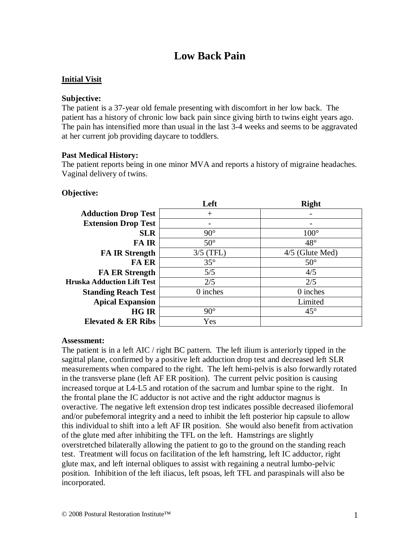# **Low Back Pain**

# **Initial Visit**

#### **Subjective:**

The patient is a 37-year old female presenting with discomfort in her low back. The patient has a history of chronic low back pain since giving birth to twins eight years ago. The pain has intensified more than usual in the last 3-4 weeks and seems to be aggravated at her current job providing daycare to toddlers.

# **Past Medical History:**

The patient reports being in one minor MVA and reports a history of migraine headaches. Vaginal delivery of twins.

# **Objective:**

|                                   | Left         | <b>Right</b>      |
|-----------------------------------|--------------|-------------------|
| <b>Adduction Drop Test</b>        | $\pm$        |                   |
| <b>Extension Drop Test</b>        |              |                   |
| <b>SLR</b>                        | $90^\circ$   | $100^\circ$       |
| <b>FAIR</b>                       | $50^\circ$   | $48^{\circ}$      |
| <b>FA IR Strength</b>             | $3/5$ (TFL)  | $4/5$ (Glute Med) |
| <b>FA ER</b>                      | $35^{\circ}$ | $50^{\circ}$      |
| <b>FA ER Strength</b>             | 5/5          | 4/5               |
| <b>Hruska Adduction Lift Test</b> | 2/5          | 2/5               |
| <b>Standing Reach Test</b>        | 0 inches     | 0 inches          |
| <b>Apical Expansion</b>           |              | Limited           |
| <b>HG IR</b>                      | $90^\circ$   | $45^{\circ}$      |
| <b>Elevated &amp; ER Ribs</b>     | Yes          |                   |

#### **Assessment:**

The patient is in a left AIC / right BC pattern. The left ilium is anteriorly tipped in the sagittal plane, confirmed by a positive left adduction drop test and decreased left SLR measurements when compared to the right. The left hemi-pelvis is also forwardly rotated in the transverse plane (left AF ER position). The current pelvic position is causing increased torque at L4-L5 and rotation of the sacrum and lumbar spine to the right. In the frontal plane the IC adductor is not active and the right adductor magnus is overactive. The negative left extension drop test indicates possible decreased iliofemoral and/or pubefemoral integrity and a need to inhibit the left posterior hip capsule to allow this individual to shift into a left AF IR position. She would also benefit from activation of the glute med after inhibiting the TFL on the left. Hamstrings are slightly overstretched bilaterally allowing the patient to go to the ground on the standing reach test. Treatment will focus on facilitation of the left hamstring, left IC adductor, right glute max, and left internal obliques to assist with regaining a neutral lumbo-pelvic position. Inhibition of the left iliacus, left psoas, left TFL and paraspinals will also be incorporated.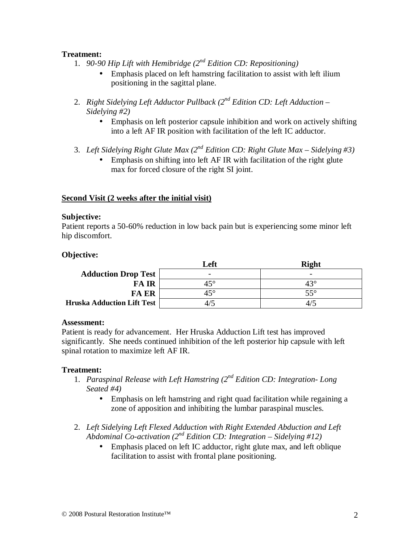# **Treatment:**

- 1. *90-90 Hip Lift with Hemibridge (2nd Edition CD: Repositioning)*
	- Emphasis placed on left hamstring facilitation to assist with left ilium positioning in the sagittal plane.
- 2. *Right Sidelying Left Adductor Pullback (2nd Edition CD: Left Adduction – Sidelying #2)*
	- Emphasis on left posterior capsule inhibition and work on actively shifting into a left AF IR position with facilitation of the left IC adductor.
- 3. *Left Sidelying Right Glute Max (2nd Edition CD: Right Glute Max – Sidelying #3)*
	- Emphasis on shifting into left AF IR with facilitation of the right glute max for forced closure of the right SI joint.

#### **Second Visit (2 weeks after the initial visit)**

#### **Subjective:**

Patient reports a 50-60% reduction in low back pain but is experiencing some minor left hip discomfort.

#### **Objective:**

|                                   | Left                     | <b>Right</b> |
|-----------------------------------|--------------------------|--------------|
| <b>Adduction Drop Test</b>        | $\overline{\phantom{0}}$ |              |
| <b>FAIR</b>                       | $45^{\circ}$             | 43°          |
| <b>FA ER</b>                      | $45^{\circ}$             | $55^\circ$   |
| <b>Hruska Adduction Lift Test</b> |                          |              |

#### **Assessment:**

Patient is ready for advancement. Her Hruska Adduction Lift test has improved significantly. She needs continued inhibition of the left posterior hip capsule with left spinal rotation to maximize left AF IR.

#### **Treatment:**

- 1. *Paraspinal Release with Left Hamstring (2nd Edition CD: Integration- Long Seated #4)*
	- Emphasis on left hamstring and right quad facilitation while regaining a zone of apposition and inhibiting the lumbar paraspinal muscles.
- 2. *Left Sidelying Left Flexed Adduction with Right Extended Abduction and Left Abdominal Co-activation*  $(2^{nd}$  *Edition CD: Integration – Sidelying* #12)
	- Emphasis placed on left IC adductor, right glute max, and left oblique facilitation to assist with frontal plane positioning.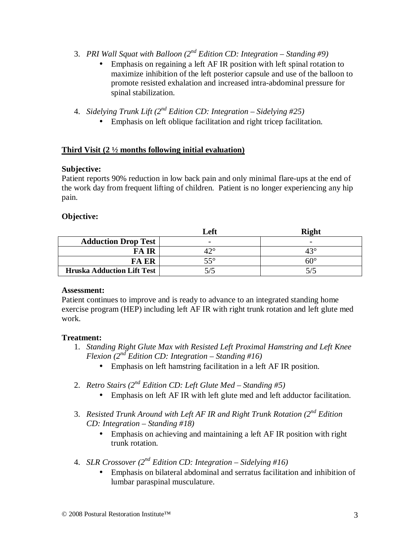- 3. *PRI Wall Squat with Balloon (2nd Edition CD: Integration – Standing #9)*
	- Emphasis on regaining a left AF IR position with left spinal rotation to maximize inhibition of the left posterior capsule and use of the balloon to promote resisted exhalation and increased intra-abdominal pressure for spinal stabilization.
- 4. *Sidelying Trunk Lift (2nd Edition CD: Integration – Sidelying #25)*
	- Emphasis on left oblique facilitation and right tricep facilitation.

# **Third Visit (2 ½ months following initial evaluation)**

#### **Subjective:**

Patient reports 90% reduction in low back pain and only minimal flare-ups at the end of the work day from frequent lifting of children. Patient is no longer experiencing any hip pain.

# **Objective:**

|                                   | Left | <b>Right</b> |
|-----------------------------------|------|--------------|
| <b>Adduction Drop Test</b>        |      |              |
| <b>FAIR</b>                       |      | 43°          |
| <b>FA ER</b>                      | 550  | $60^{\circ}$ |
| <b>Hruska Adduction Lift Test</b> |      |              |

#### **Assessment:**

Patient continues to improve and is ready to advance to an integrated standing home exercise program (HEP) including left AF IR with right trunk rotation and left glute med work.

#### **Treatment:**

- 1. *Standing Right Glute Max with Resisted Left Proximal Hamstring and Left Knee Flexion (2nd Edition CD: Integration – Standing #16)*
	- Emphasis on left hamstring facilitation in a left AF IR position.
- 2. *Retro Stairs (2nd Edition CD: Left Glute Med – Standing #5)*
	- Emphasis on left AF IR with left glute med and left adductor facilitation.
- 3. *Resisted Trunk Around with Left AF IR and Right Trunk Rotation (2nd Edition CD: Integration – Standing #18)*
	- Emphasis on achieving and maintaining a left AF IR position with right trunk rotation.
- 4. *SLR Crossover (2nd Edition CD: Integration – Sidelying #16)*
	- Emphasis on bilateral abdominal and serratus facilitation and inhibition of lumbar paraspinal musculature.